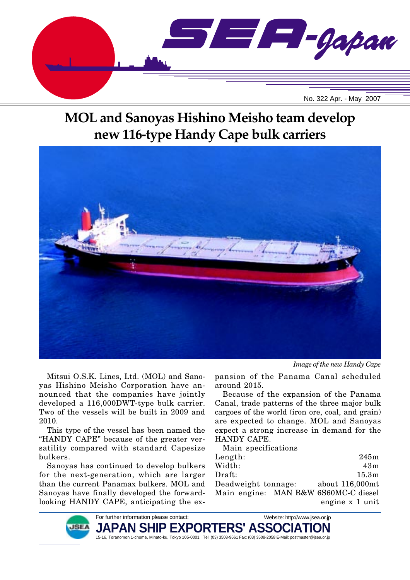

# **MOL and Sanoyas Hishino Meisho team develop new 116-type Handy Cape bulk carriers**



Mitsui O.S.K. Lines, Ltd. (MOL) and Sanoyas Hishino Meisho Corporation have announced that the companies have jointly developed a 116,000DWT-type bulk carrier. Two of the vessels will be built in 2009 and 2010.

This type of the vessel has been named the "HANDY CAPE" because of the greater versatility compared with standard Capesize bulkers.

Sanoyas has continued to develop bulkers for the next-generation, which are larger than the current Panamax bulkers. MOL and Sanoyas have finally developed the forwardlooking HANDY CAPE, anticipating the ex-

*Image of the new Handy Cape*

pansion of the Panama Canal scheduled around 2015.

Because of the expansion of the Panama Canal, trade patterns of the three major bulk cargoes of the world (iron ore, coal, and grain) are expected to change. MOL and Sanoyas expect a strong increase in demand for the HANDY CAPE.

Main specifications

| Length:                              | 245m            |
|--------------------------------------|-----------------|
| Width:                               | 43m             |
| Draft:                               | 15.3m           |
| Deadweight tonnage:                  | about 116,000mt |
| Main engine: MAN B&W 6S60MC-C diesel |                 |
|                                      | engine x 1 unit |

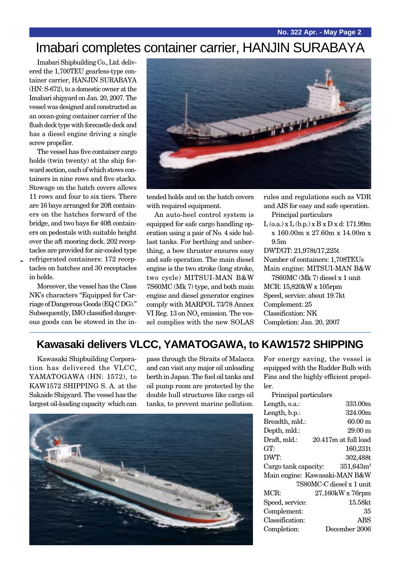## Imabari completes container carrier, HANJIN SURABAYA

Imabari Shipbuilding Co., Ltd. delivered the 1,700TEU gearless-type container carrier, HANJIN SURABAYA (HN: S-672), to a domestic owner at the Imabari shipyard on Jan. 20, 2007. The vessel was designed and constructed as an ocean-going container carrier of the flush deck type with forecastle deck and has a diesel engine driving a single screw propeller.

The vessel has five container cargo holds (twin twenty) at the ship forward section, each of which stows containers in nine rows and five stacks. Stowage on the hatch covers allows 11 rows and four to six tiers. There are 16 bays arranged for 20ft containers on the hatches forward of the bridge, and two bays for 40ft containers on pedestals with suitable height over the aft mooring deck. 202 receptacles are provided for air-cooled type refrigerated containers: 172 receptacles on hatches and 30 receptacles in holds.

-

Moreover, the vessel has the Class NK's characters "Equipped for Carriage of Dangerous Goods (EQ C DG)." Subsequently, IMO classified dangerous goods can be stowed in the in-



tended holds and on the hatch covers with required equipment.

An auto-heel control system is equipped for safe cargo handling operation using a pair of No. 4 side ballast tanks. For berthing and unberthing, a bow thruster ensures easy and safe operation. The main diesel engine is the two stroke (long stroke, two cycle) MITSUI-MAN B&W 7S60MC (Mk 7) type, and both main engine and diesel generator engines comply with MARPOL 73/78 Annex VI Reg. 13 on NO<sub>x</sub> emission. The vessel complies with the new SOLAS

rules and regulations such as VDR and AIS for easy and safe operation. Principal particulars  $L$  (o.a.) x  $L$  (b.p.) x  $B$  x  $D$  x d: 171.99m x 160.00m x 27.60m x 14.00m x 9.5m DWT/GT: 21,978t/17,225t Number of containers: 1,708TEUs Main engine: MITSUI-MAN B&W 7S60MC (Mk 7) diesel x 1 unit MCR: 15,820kW x 105rpm Speed, service: about 19.7kt Complement: 25 Classification: NK Completion: Jan. 20, 2007

### **Kawasaki delivers VLCC, YAMATOGAWA, to KAW1572 SHIPPING**

Kawasaki Shipbuilding Corporation has delivered the VLCC, YAMATOGAWA (HN: 1572), to KAW1572 SHIPPING S. A. at the Sakaide Shipyard. The vessel has the largest oil-loading capacity which can

pass through the Straits of Malacca and can visit any major oil unloading berth in Japan. The fuel oil tanks and oil pump room are protected by the double hull structures like cargo oil tanks, to prevent marine pollution.



For energy saving, the vessel is equipped with the Rudder Bulb with Fins and the highly efficient propeller.

| Principal particulars |                               |
|-----------------------|-------------------------------|
| Length, o.a.:         | 333.00m                       |
| Length, b.p.:         | 324.00m                       |
| Breadth, mld.:        | $60.00 \text{ m}$             |
| Depth, mld.:          | $29.00 \text{ m}$             |
| Draft, mld.:          | 20.417m at full load          |
| GT:                   | 160,231t                      |
| DWT:                  | 302,488t                      |
|                       |                               |
| Cargo tank capacity:  | $351,643m^3$                  |
|                       | Main engine: Kawasaki-MAN B&W |
|                       | 7S80MC-C diesel x 1 unit      |
| MCR:                  | 27,160kW x 76rpm              |
| Speed, service:       | 15.58kt                       |
| Complement:           | 35                            |
| Classification:       | ABS                           |
| Completion:           | December 2006                 |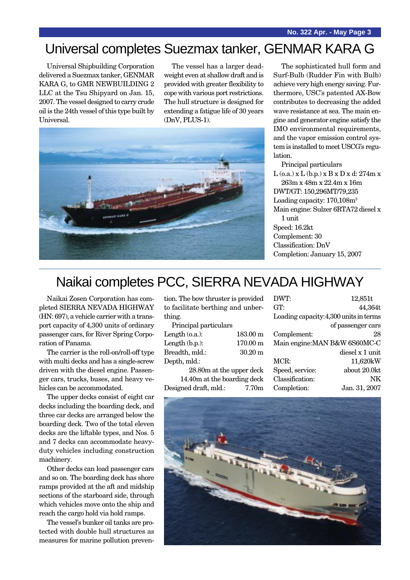## Universal completes Suezmax tanker, GENMAR KARA G

Universal Shipbuilding Corporation delivered a Suezmax tanker, GENMAR KARA G, to GMR NEWBUILDING 2 LLC at the Tsu Shipyard on Jan. 15, 2007. The vessel designed to carry crude oil is the 24th vessel of this type built by Universal.

The vessel has a larger deadweight even at shallow draft and is provided with greater flexibility to cope with various port restrictions. The hull structure is designed for extending a fatigue life of 30 years (DnV, PLUS-1).



The sophisticated hull form and Surf-Bulb (Rudder Fin with Bulb) achieve very high energy saving. Furthermore, USC's patented AX-Bow contributes to decreasing the added wave resistance at sea. The main engine and generator engine satisfy the IMO environmental requirements, and the vapor emission control system is installed to meet USCG's regulation.

Principal particulars  $L$  (o.a.) x  $L$  (b.p.) x  $B$  x  $D$  x d: 274m x 263m x 48m x 22.4m x 16m DWT/GT: 150,296MT/79,235 Loading capacity: 170,108m3 Main engine: Sulzer 6RTA72 diesel x 1 unit Speed: 16.2kt Complement: 30 Classification: DnV Completion: January 15, 2007

## Naikai completes PCC, SIERRA NEVADA HIGHWAY

Naikai Zosen Corporation has completed SIERRA NEVADA HIGHWAY (HN: 697), a vehicle carrier with a transport capacity of 4,300 units of ordinary passenger cars, for River Spring Corporation of Panama.

The carrier is the roll-on/roll-off type with multi decks and has a single-screw driven with the diesel engine. Passenger cars, trucks, buses, and heavy vehicles can be accommodated.

The upper decks consist of eight car decks including the boarding deck, and three car decks are arranged below the boarding deck. Two of the total eleven decks are the liftable types, and Nos. 5 and 7 decks can accommodate heavyduty vehicles including construction machinery.

Other decks can load passenger cars and so on. The boarding deck has shore ramps provided at the aft and midship sections of the starboard side, through which vehicles move onto the ship and reach the cargo hold via hold ramps.

The vessel's bunker oil tanks are protected with double hull structures as measures for marine pollution prevention. The bow thruster is provided to facilitate berthing and unberthing.

Principal particulars

| Length $(0.a.)$ : | $183.00 \text{ m}$ |
|-------------------|--------------------|
| Length $(b.p.):$  | $170.00 \text{ m}$ |
| Breadth, mld.:    | $30.20 \text{ m}$  |
| Depth, mld.:      |                    |
| $\sim$ $\sim$     |                    |

28.80m at the upper deck 14.40m at the boarding deck Designed draft, mld.: 7.70m

| DWT:            | 12,851t                                |
|-----------------|----------------------------------------|
| GT:             | 44,364t                                |
|                 | Loading capacity: 4,300 units in terms |
|                 | of passenger cars                      |
| Complement:     | 28                                     |
|                 | Main engine: MAN B&W 6S60MC-C          |
|                 | diesel x 1 unit                        |
| MCR:            | 11,620kW                               |
| Speed, service: | about 20.0kt                           |
| Classification: | NK                                     |
| Completion:     | Jan. 31, 2007                          |

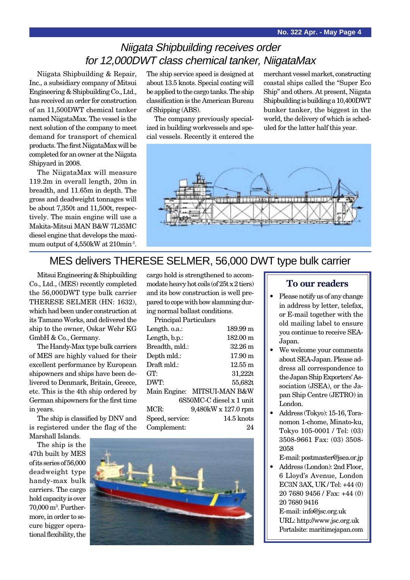## Niigata Shipbuilding receives order for 12,000DWT class chemical tanker, NiigataMax

Niigata Shipbuilding & Repair, Inc., a subsidiary company of Mitsui Engineering & Shipbuilding Co., Ltd., has received an order for construction of an 11,500DWT chemical tanker named NiigataMax. The vessel is the next solution of the company to meet demand for transport of chemical products. The first NiigataMax will be completed for an owner at the Niigata Shipyard in 2008.

The NiigataMax will measure 119.2m in overall length, 20m in breadth, and 11.65m in depth. The gross and deadweight tonnages will be about 7,350t and 11,500t, respectively. The main engine will use a Makita-Mitsui MAN B&W 7L35MC diesel engine that develops the maximum output of 4,550kW at 210min<sup>-1</sup>.

The ship service speed is designed at about 13.5 knots. Special coating will be applied to the cargo tanks. The ship classification is the American Bureau of Shipping (ABS).

The company previously specialized in building workvessels and special vessels. Recently it entered the

merchant vessel market, constructing coastal ships called the "Super Eco Ship" and others. At present, Niigata Shipbuilding is building a 10,400DWT bunker tanker, the biggest in the world, the delivery of which is scheduled for the latter half this year.



### MES delivers THERESE SELMER, 56,000 DWT type bulk carrier

Mitsui Engineering & Shipbuilding Co., Ltd., (MES) recently completed the 56,000DWT type bulk carrier THERESE SELMER (HN: 1632), which had been under construction at its Tamano Works, and delivered the ship to the owner, Oskar Wehr KG GmbH & Co., Germany.

The Handy-Max type bulk carriers of MES are highly valued for their excellent performance by European shipowners and ships have been delivered to Denmark, Britain, Greece, etc. This is the 4th ship ordered by German shipowners for the first time in years.

The ship is classified by DNV and is registered under the flag of the Marshall Islands.

The ship is the 47th built by MES of its series of 56,000 deadweight type handy-max bulk carriers. The cargo hold capacity is over 70,000 m3 . Furthermore, in order to secure bigger operational flexibility, the cargo hold is strengthened to accommodate heavy hot coils (of 25t x 2 tiers) and its bow construction is well prepared to cope with bow slamming during normal ballast conditions.

| Principal Particulars    |                             |  |
|--------------------------|-----------------------------|--|
| Length. o.a.:            | 189.99 m                    |  |
| Length, b.p.:            | 182.00 m                    |  |
| Breadth, mld.:           | $32.26 \text{ m}$           |  |
| Depth mld.:              | $17.90 \text{ m}$           |  |
| Draft mld.:              | $12.55 \text{ m}$           |  |
| GT:                      | 31,222t                     |  |
| DWT:                     | 55,682t                     |  |
|                          | Main Engine: MITSUI-MAN B&W |  |
| 6S50MC-C diesel x 1 unit |                             |  |
| MCR:                     | 9,480kW x 127.0 rpm         |  |
| Speed, service:          | $14.5$ knots                |  |
| Complement:              | 24                          |  |



#### **To our readers**

- Please notify us of any change in address by letter, telefax, or E-mail together with the old mailing label to ensure you continue to receive SEA-Japan.
- We welcome your comments about SEA-Japan. Please address all correspondence to the Japan Ship Exporters' Association (JSEA), or the Japan Ship Centre (JETRO) in London.
- Address (Tokyo): 15-16, Toranomon 1-chome, Minato-ku, Tokyo 105-0001 / Tel: (03) 3508-9661 Fax: (03) 3508- 2058
- E-mail: postmaster@jsea.or.jp
- Address (London): 2nd Floor, 6 Lloyd's Avenue, London EC3N 3AX, UK / Tel: +44 (0) 20 7680 9456 / Fax: +44 (0) 20 7680 9416 E-mail: info@jsc.org.uk URL: http://www.jsc.org.uk
	- Portalsite: maritimejapan.com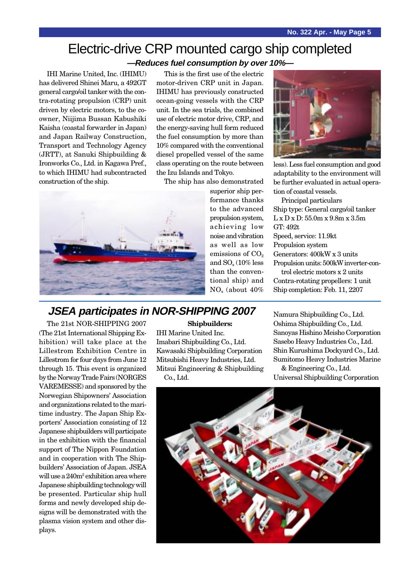# Electric-drive CRP mounted cargo ship completed

**—Reduces fuel consumption by over 10%—**

IHI Marine United, Inc. (IHIMU) has delivered Shinei Maru, a 492GT general cargo/oil tanker with the contra-rotating propulsion (CRP) unit driven by electric motors, to the coowner, Niijima Bussan Kabushiki Kaisha (coastal forwarder in Japan) and Japan Railway Construction, Transport and Technology Agency (JRTT), at Sanuki Shipbuilding & Ironworks Co., Ltd. in Kagawa Pref., to which IHIMU had subcontracted construction of the ship.

This is the first use of the electric motor-driven CRP unit in Japan. IHIMU has previously constructed ocean-going vessels with the CRP unit. In the sea trials, the combined use of electric motor drive, CRP, and the energy-saving hull form reduced the fuel consumption by more than 10% compared with the conventional diesel propelled vessel of the same class operating on the route between the Izu Islands and Tokyo.

The ship has also demonstrated



superior ship performance thanks to the advanced propulsion system, achieving low noise and vibration as well as low emissions of  $CO<sub>2</sub>$ and  $SO<sub>x</sub>$  (10% less) than the conventional ship) and NOx (about 40%



less). Less fuel consumption and good adaptability to the environment will be further evaluated in actual operation of coastal vessels.

Principal particulars Ship type: General cargo/oil tanker L x D x D: 55.0m x 9.8m x 3.5m GT: 492t Speed, service: 11.9kt Propulsion system Generators: 400kW x 3 units Propulsion units: 500kW inverter-control electric motors x 2 units Contra-rotating propellers: 1 unit Ship completion: Feb. 11, 2207

**JSEA participates in NOR-SHIPPING 2007**

The 21st NOR-SHIPPING 2007 (The 21st International Shipping Exhibition) will take place at the Lillestrom Exhibition Centre in Lillestrom for four days from June 12 through 15. This event is organized by the Norway Trade Fairs (NORGES VAREMESSE) and sponsored by the Norwegian Shipowners' Association and organizations related to the maritime industry. The Japan Ship Exporters' Association consisting of 12 Japanese shipbuilders will participate in the exhibition with the financial support of The Nippon Foundation and in cooperation with The Shipbuilders' Association of Japan. JSEA will use a 240m2 exhibition area where Japanese shipbuilding technology will be presented. Particular ship hull forms and newly developed ship designs will be demonstrated with the plasma vision system and other displays.

#### **Shipbuilders:**

IHI Marine United Inc. Imabari Shipbuilding Co., Ltd. Kawasaki Shipbuilding Corporation Mitsubishi Heavy Industries, Ltd. Mitsui Engineering & Shipbuilding Co., Ltd.

Namura Shipbuilding Co., Ltd. Oshima Shipbuilding Co., Ltd. Sanoyas Hishino Meisho Corporation Sasebo Heavy Industries Co., Ltd. Shin Kurushima Dockyard Co., Ltd. Sumitomo Heavy Industries Marine & Engineering Co., Ltd.

Universal Shipbuilding Corporation